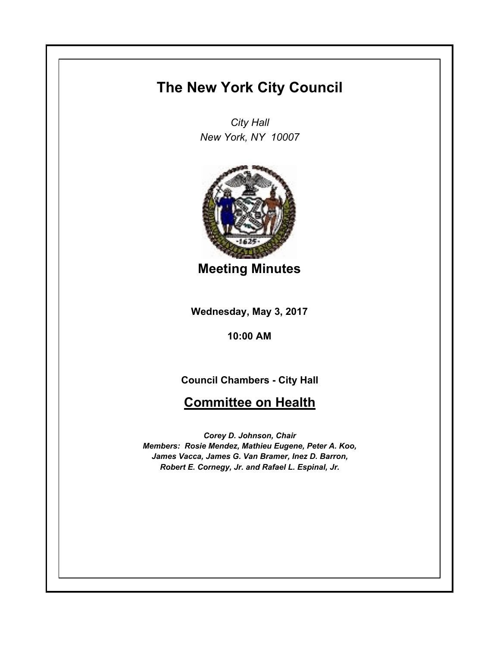## **The New York City Council**

*City Hall New York, NY 10007*



**Meeting Minutes**

**Wednesday, May 3, 2017**

**10:00 AM**

**Council Chambers - City Hall**

## **Committee on Health**

*Corey D. Johnson, Chair Members: Rosie Mendez, Mathieu Eugene, Peter A. Koo, James Vacca, James G. Van Bramer, Inez D. Barron, Robert E. Cornegy, Jr. and Rafael L. Espinal, Jr.*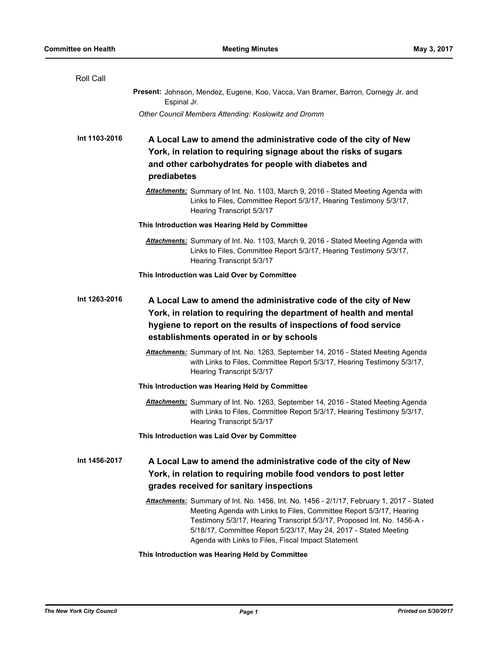| Roll Call     |                                                                                                                                                                                                                                                                                                                                                                        |
|---------------|------------------------------------------------------------------------------------------------------------------------------------------------------------------------------------------------------------------------------------------------------------------------------------------------------------------------------------------------------------------------|
|               | Present: Johnson, Mendez, Eugene, Koo, Vacca, Van Bramer, Barron, Cornegy Jr. and<br>Espinal Jr.                                                                                                                                                                                                                                                                       |
|               | Other Council Members Attending: Koslowitz and Dromm                                                                                                                                                                                                                                                                                                                   |
| Int 1103-2016 | A Local Law to amend the administrative code of the city of New<br>York, in relation to requiring signage about the risks of sugars<br>and other carbohydrates for people with diabetes and<br>prediabetes                                                                                                                                                             |
|               | Attachments: Summary of Int. No. 1103, March 9, 2016 - Stated Meeting Agenda with<br>Links to Files, Committee Report 5/3/17, Hearing Testimony 5/3/17,<br>Hearing Transcript 5/3/17                                                                                                                                                                                   |
|               | This Introduction was Hearing Held by Committee                                                                                                                                                                                                                                                                                                                        |
|               | Attachments: Summary of Int. No. 1103, March 9, 2016 - Stated Meeting Agenda with<br>Links to Files, Committee Report 5/3/17, Hearing Testimony 5/3/17,<br>Hearing Transcript 5/3/17                                                                                                                                                                                   |
|               | This Introduction was Laid Over by Committee                                                                                                                                                                                                                                                                                                                           |
| Int 1263-2016 | A Local Law to amend the administrative code of the city of New<br>York, in relation to requiring the department of health and mental<br>hygiene to report on the results of inspections of food service<br>establishments operated in or by schools                                                                                                                   |
|               | Attachments: Summary of Int. No. 1263, September 14, 2016 - Stated Meeting Agenda<br>with Links to Files, Committee Report 5/3/17, Hearing Testimony 5/3/17,<br>Hearing Transcript 5/3/17                                                                                                                                                                              |
|               | This Introduction was Hearing Held by Committee                                                                                                                                                                                                                                                                                                                        |
|               | Attachments: Summary of Int. No. 1263, September 14, 2016 - Stated Meeting Agenda<br>with Links to Files, Committee Report 5/3/17, Hearing Testimony 5/3/17,<br>Hearing Transcript 5/3/17                                                                                                                                                                              |
|               | This Introduction was Laid Over by Committee                                                                                                                                                                                                                                                                                                                           |
| Int 1456-2017 | A Local Law to amend the administrative code of the city of New<br>York, in relation to requiring mobile food vendors to post letter<br>grades received for sanitary inspections                                                                                                                                                                                       |
|               |                                                                                                                                                                                                                                                                                                                                                                        |
|               | Attachments: Summary of Int. No. 1456, Int. No. 1456 - 2/1/17, February 1, 2017 - Stated<br>Meeting Agenda with Links to Files, Committee Report 5/3/17, Hearing<br>Testimony 5/3/17, Hearing Transcript 5/3/17, Proposed Int. No. 1456-A -<br>5/18/17, Committee Report 5/23/17, May 24, 2017 - Stated Meeting<br>Agenda with Links to Files, Fiscal Impact Statement |

## **This Introduction was Hearing Held by Committee**